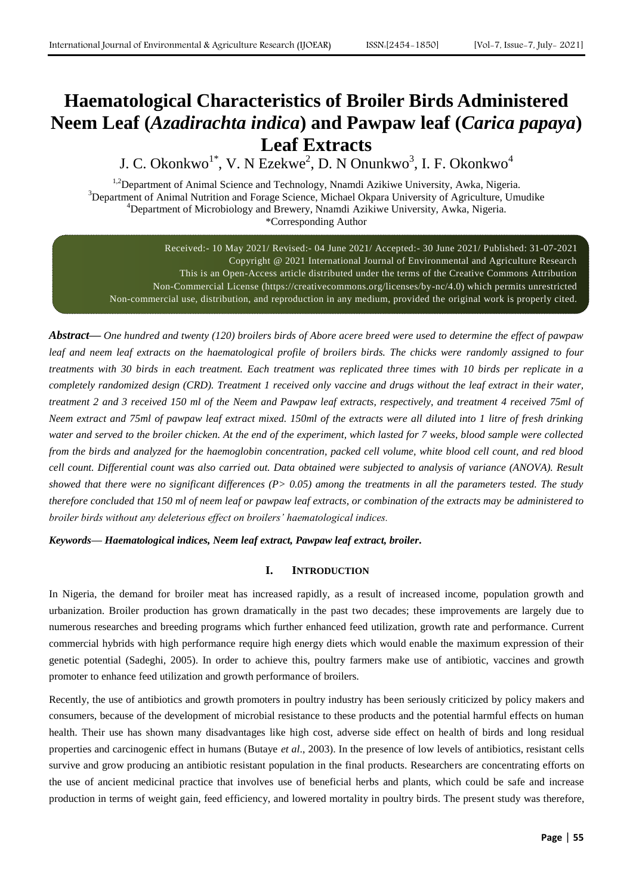# **Haematological Characteristics of Broiler Birds Administered Neem Leaf (***Azadirachta indica***) and Pawpaw leaf (***Carica papaya***) Leaf Extracts**

J. C. Okonkwo $^{1*}$ , V. N Ezekwe<sup>2</sup>, D. N Onunkwo<sup>3</sup>, I. F. Okonkwo<sup>4</sup>

<sup>1,2</sup>Department of Animal Science and Technology, Nnamdi Azikiwe University, Awka, Nigeria. <sup>3</sup>Department of Animal Nutrition and Forage Science, Michael Okpara University of Agriculture, Umudike <sup>4</sup>Department of Microbiology and Brewery, Nnamdi Azikiwe University, Awka, Nigeria. \*Corresponding Author

Received:- 10 May 2021/ Revised:- 04 June 2021/ Accepted:- 30 June 2021/ Published: 31-07-2021 Copyright @ 2021 International Journal of Environmental and Agriculture Research This is an Open-Access article distributed under the terms of the Creative Commons Attribution Non-Commercial License (https://creativecommons.org/licenses/by-nc/4.0) which permits unrestricted Non-commercial use, distribution, and reproduction in any medium, provided the original work is properly cited.

*Abstract***—** *One hundred and twenty (120) broilers birds of Abore acere breed were used to determine the effect of pawpaw*  leaf and neem leaf extracts on the haematological profile of broilers birds. The chicks were randomly assigned to four *treatments with 30 birds in each treatment. Each treatment was replicated three times with 10 birds per replicate in a completely randomized design (CRD). Treatment 1 received only vaccine and drugs without the leaf extract in their water, treatment 2 and 3 received 150 ml of the Neem and Pawpaw leaf extracts, respectively, and treatment 4 received 75ml of Neem extract and 75ml of pawpaw leaf extract mixed. 150ml of the extracts were all diluted into 1 litre of fresh drinking water and served to the broiler chicken. At the end of the experiment, which lasted for 7 weeks, blood sample were collected from the birds and analyzed for the haemoglobin concentration, packed cell volume, white blood cell count, and red blood cell count. Differential count was also carried out. Data obtained were subjected to analysis of variance (ANOVA). Result showed that there were no significant differences (P> 0.05) among the treatments in all the parameters tested. The study therefore concluded that 150 ml of neem leaf or pawpaw leaf extracts, or combination of the extracts may be administered to broiler birds without any deleterious effect on broilers' haematological indices.*

*Keywords— Haematological indices, Neem leaf extract, Pawpaw leaf extract, broiler.*

# **I. INTRODUCTION**

In Nigeria, the demand for broiler meat has increased rapidly, as a result of increased income, population growth and urbanization. Broiler production has grown dramatically in the past two decades; these improvements are largely due to numerous researches and breeding programs which further enhanced feed utilization, growth rate and performance. Current commercial hybrids with high performance require high energy diets which would enable the maximum expression of their genetic potential (Sadeghi, 2005). In order to achieve this, poultry farmers make use of antibiotic, vaccines and growth promoter to enhance feed utilization and growth performance of broilers.

Recently, the use of antibiotics and growth promoters in poultry industry has been seriously criticized by policy makers and consumers, because of the development of microbial resistance to these products and the potential harmful effects on human health. Their use has shown many disadvantages like high cost, adverse side effect on health of birds and long residual properties and carcinogenic effect in humans (Butaye *et al*., 2003). In the presence of low levels of antibiotics, resistant cells survive and grow producing an antibiotic resistant population in the final products. Researchers are concentrating efforts on the use of ancient medicinal practice that involves use of beneficial herbs and plants, which could be safe and increase production in terms of weight gain, feed efficiency, and lowered mortality in poultry birds. The present study was therefore,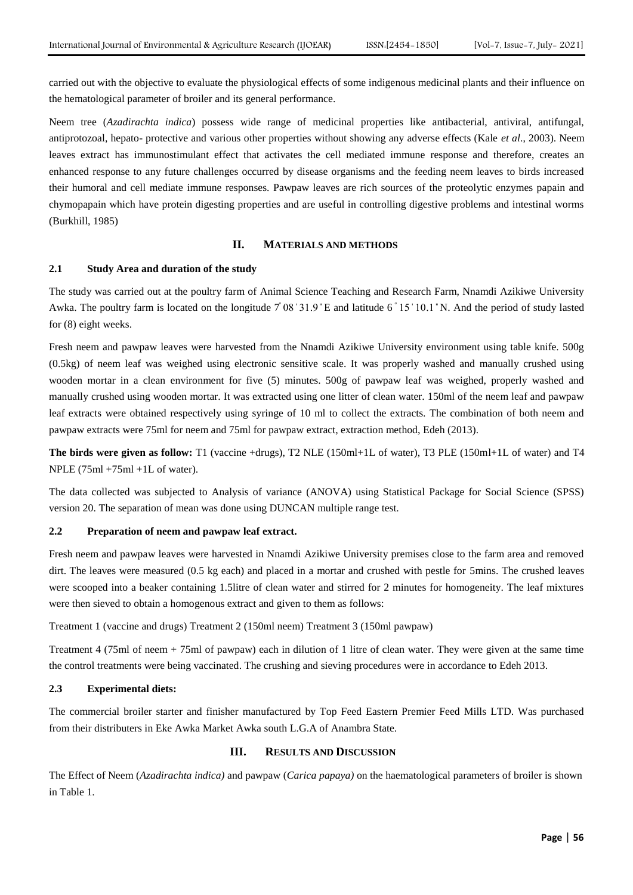carried out with the objective to evaluate the physiological effects of some indigenous medicinal plants and their influence on the hematological parameter of broiler and its general performance.

Neem tree (*Azadirachta indica*) possess wide range of medicinal properties like antibacterial, antiviral, antifungal, antiprotozoal, hepato- protective and various other properties without showing any adverse effects (Kale *et al*., 2003). Neem leaves extract has immunostimulant effect that activates the cell mediated immune response and therefore, creates an enhanced response to any future challenges occurred by disease organisms and the feeding neem leaves to birds increased their humoral and cell mediate immune responses. Pawpaw leaves are rich sources of the proteolytic enzymes papain and chymopapain which have protein digesting properties and are useful in controlling digestive problems and intestinal worms (Burkhill, 1985)

## **II. MATERIALS AND METHODS**

## **2.1 Study Area and duration of the study**

The study was carried out at the poultry farm of Animal Science Teaching and Research Farm, Nnamdi Azikiwe University Awka. The poultry farm is located on the longitude  $7°08'31.9"E$  and latitude 6 $°15'10.1"N$ . And the period of study lasted for (8) eight weeks.

Fresh neem and pawpaw leaves were harvested from the Nnamdi Azikiwe University environment using table knife. 500g (0.5kg) of neem leaf was weighed using electronic sensitive scale. It was properly washed and manually crushed using wooden mortar in a clean environment for five (5) minutes. 500g of pawpaw leaf was weighed, properly washed and manually crushed using wooden mortar. It was extracted using one litter of clean water. 150ml of the neem leaf and pawpaw leaf extracts were obtained respectively using syringe of 10 ml to collect the extracts. The combination of both neem and pawpaw extracts were 75ml for neem and 75ml for pawpaw extract, extraction method, Edeh (2013).

**The birds were given as follow:** T1 (vaccine +drugs), T2 NLE (150ml+1L of water), T3 PLE (150ml+1L of water) and T4 NPLE (75ml +75ml +1L of water).

The data collected was subjected to Analysis of variance (ANOVA) using Statistical Package for Social Science (SPSS) version 20. The separation of mean was done using DUNCAN multiple range test.

# **2.2 Preparation of neem and pawpaw leaf extract.**

Fresh neem and pawpaw leaves were harvested in Nnamdi Azikiwe University premises close to the farm area and removed dirt. The leaves were measured (0.5 kg each) and placed in a mortar and crushed with pestle for 5mins. The crushed leaves were scooped into a beaker containing 1.5litre of clean water and stirred for 2 minutes for homogeneity. The leaf mixtures were then sieved to obtain a homogenous extract and given to them as follows:

Treatment 1 (vaccine and drugs) Treatment 2 (150ml neem) Treatment 3 (150ml pawpaw)

Treatment 4 (75ml of neem + 75ml of pawpaw) each in dilution of 1 litre of clean water. They were given at the same time the control treatments were being vaccinated. The crushing and sieving procedures were in accordance to Edeh 2013.

## **2.3 Experimental diets:**

The commercial broiler starter and finisher manufactured by Top Feed Eastern Premier Feed Mills LTD. Was purchased from their distributers in Eke Awka Market Awka south L.G.A of Anambra State.

# **III. RESULTS AND DISCUSSION**

The Effect of Neem (*Azadirachta indica)* and pawpaw (*Carica papaya)* on the haematological parameters of broiler is shown in Table 1.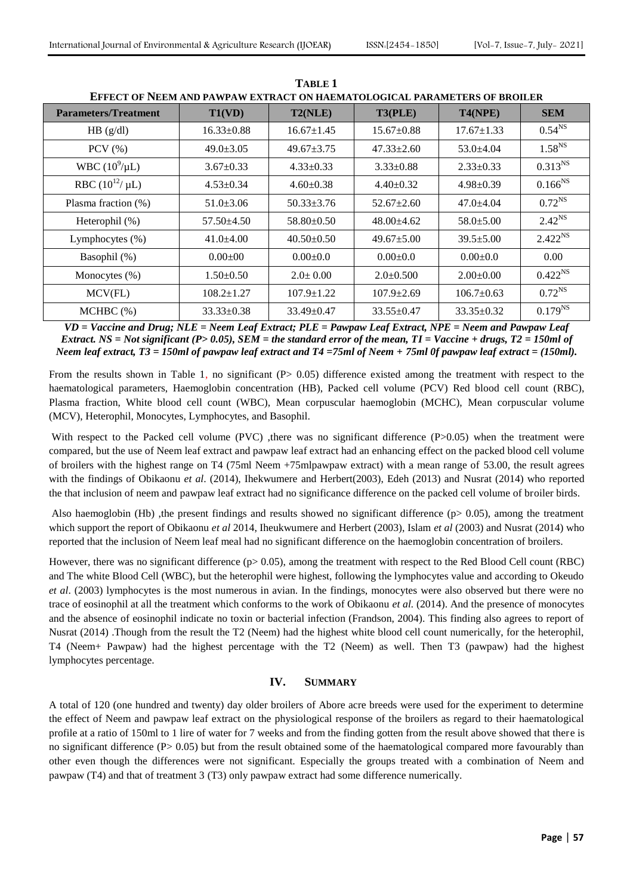| <b>Parameters/Treatment</b> | T1(VD)           | T2(NLE)          | T3(PLE)          | T4(NPE)          | <b>SEM</b>   |
|-----------------------------|------------------|------------------|------------------|------------------|--------------|
| HB (g/dl)                   | $16.33 \pm 0.88$ | $16.67 \pm 1.45$ | $15.67 \pm 0.88$ | $17.67 \pm 1.33$ | $0.54^{NS}$  |
| $PCV$ $(\%)$                | $49.0 \pm 3.05$  | $49.67 \pm 3.75$ | $47.33 \pm 2.60$ | $53.0 \pm 4.04$  | $1.58^{NS}$  |
| WBC $(10^9/\mu L)$          | $3.67 \pm 0.33$  | $4.33 \pm 0.33$  | $3.33 \pm 0.88$  | $2.33 \pm 0.33$  | $0.313^{NS}$ |
| RBC $(10^{12}/ \mu L)$      | $4.53 \pm 0.34$  | $4.60 \pm 0.38$  | $4.40 \pm 0.32$  | $4.98 \pm 0.39$  | $0.166^{NS}$ |
| Plasma fraction (%)         | $51.0 \pm 3.06$  | $50.33 \pm 3.76$ | $52.67 \pm 2.60$ | $47.0 + 4.04$    | $0.72^{NS}$  |
| Heterophil (%)              | $57.50 \pm 4.50$ | $58.80 \pm 0.50$ | $48.00 \pm 4.62$ | $58.0 \pm 5.00$  | $2.42^{NS}$  |
| Lymphocytes $(\% )$         | $41.0 \pm 4.00$  | $40.50 \pm 0.50$ | $49.67 \pm 5.00$ | $39.5 \pm 5.00$  | $2.422^{NS}$ |
| Basophil (%)                | $0.00 \pm 00$    | $0.00 \pm 0.0$   | $0.00 \pm 0.0$   | $0.00 \pm 0.0$   | 0.00         |
| Monocytes (%)               | $1.50 \pm 0.50$  | $2.0 \pm 0.00$   | $2.0 \pm 0.500$  | $2.00 \pm 0.00$  | $0.422^{NS}$ |
| MCV(FL)                     | $108.2 \pm 1.27$ | $107.9 \pm 1.22$ | $107.9 \pm 2.69$ | $106.7 \pm 0.63$ | $0.72^{NS}$  |
| MCHBC(%)                    | $33.33 \pm 0.38$ | $33.49 \pm 0.47$ | $33.55 \pm 0.47$ | $33.35 \pm 0.32$ | $0.179^{NS}$ |

**TABLE 1 EFFECT OF NEEM AND PAWPAW EXTRACT ON HAEMATOLOGICAL PARAMETERS OF BROILER**

*VD = Vaccine and Drug; NLE = Neem Leaf Extract; PLE = Pawpaw Leaf Extract, NPE = Neem and Pawpaw Leaf Extract. NS = Not significant (P> 0.05), SEM = the standard error of the mean, TI = Vaccine + drugs, T2 = 150ml of Neem leaf extract, T3 = 150ml of pawpaw leaf extract and T4 =75ml of Neem + 75ml 0f pawpaw leaf extract = (150ml).*

From the results shown in Table 1, no significant (P> 0.05) difference existed among the treatment with respect to the haematological parameters, Haemoglobin concentration (HB), Packed cell volume (PCV) Red blood cell count (RBC), Plasma fraction, White blood cell count (WBC), Mean corpuscular haemoglobin (MCHC), Mean corpuscular volume (MCV), Heterophil, Monocytes, Lymphocytes, and Basophil.

With respect to the Packed cell volume (PVC) ,there was no significant difference  $(P>0.05)$  when the treatment were compared, but the use of Neem leaf extract and pawpaw leaf extract had an enhancing effect on the packed blood cell volume of broilers with the highest range on T4 (75ml Neem +75mlpawpaw extract) with a mean range of 53.00, the result agrees with the findings of Obikaonu *et al*. (2014), Ihekwumere and Herbert(2003), Edeh (2013) and Nusrat (2014) who reported the that inclusion of neem and pawpaw leaf extract had no significance difference on the packed cell volume of broiler birds.

Also haemoglobin (Hb), the present findings and results showed no significant difference ( $p$  $> 0.05$ ), among the treatment which support the report of Obikaonu *et al* 2014, Iheukwumere and Herbert (2003), Islam *et al* (2003) and Nusrat (2014) who reported that the inclusion of Neem leaf meal had no significant difference on the haemoglobin concentration of broilers.

However, there was no significant difference (p> 0.05), among the treatment with respect to the Red Blood Cell count (RBC) and The white Blood Cell (WBC), but the heterophil were highest, following the lymphocytes value and according to Okeudo *et al*. (2003) lymphocytes is the most numerous in avian. In the findings, monocytes were also observed but there were no trace of eosinophil at all the treatment which conforms to the work of Obikaonu *et al.* (2014). And the presence of monocytes and the absence of eosinophil indicate no toxin or bacterial infection (Frandson, 2004). This finding also agrees to report of Nusrat (2014) .Though from the result the T2 (Neem) had the highest white blood cell count numerically, for the heterophil, T4 (Neem+ Pawpaw) had the highest percentage with the T2 (Neem) as well. Then T3 (pawpaw) had the highest lymphocytes percentage.

# **IV. SUMMARY**

A total of 120 (one hundred and twenty) day older broilers of Abore acre breeds were used for the experiment to determine the effect of Neem and pawpaw leaf extract on the physiological response of the broilers as regard to their haematological profile at a ratio of 150ml to 1 lire of water for 7 weeks and from the finding gotten from the result above showed that there is no significant difference (P> 0.05) but from the result obtained some of the haematological compared more favourably than other even though the differences were not significant. Especially the groups treated with a combination of Neem and pawpaw (T4) and that of treatment 3 (T3) only pawpaw extract had some difference numerically.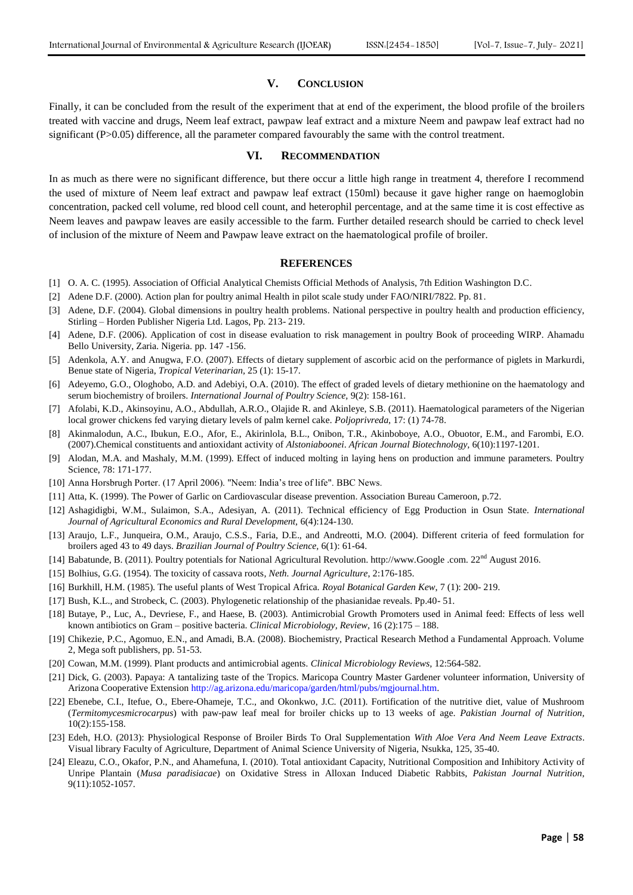## **V. CONCLUSION**

Finally, it can be concluded from the result of the experiment that at end of the experiment, the blood profile of the broilers treated with vaccine and drugs, Neem leaf extract, pawpaw leaf extract and a mixture Neem and pawpaw leaf extract had no significant (P>0.05) difference, all the parameter compared favourably the same with the control treatment.

# **VI. RECOMMENDATION**

In as much as there were no significant difference, but there occur a little high range in treatment 4, therefore I recommend the used of mixture of Neem leaf extract and pawpaw leaf extract (150ml) because it gave higher range on haemoglobin concentration, packed cell volume, red blood cell count, and heterophil percentage, and at the same time it is cost effective as Neem leaves and pawpaw leaves are easily accessible to the farm. Further detailed research should be carried to check level of inclusion of the mixture of Neem and Pawpaw leave extract on the haematological profile of broiler.

#### **REFERENCES**

- [1] O. A. C. (1995). Association of Official Analytical Chemists Official Methods of Analysis, 7th Edition Washington D.C.
- [2] Adene D.F. (2000). Action plan for poultry animal Health in pilot scale study under FAO/NIRI/7822. Pp. 81.
- [3] Adene, D.F. (2004). Global dimensions in poultry health problems. National perspective in poultry health and production efficiency, Stirling – Horden Publisher Nigeria Ltd. Lagos, Pp. 213- 219.
- [4] Adene, D.F. (2006). Application of cost in disease evaluation to risk management in poultry Book of proceeding WIRP. Ahamadu Bello University, Zaria. Nigeria. pp. 147 -156.
- [5] Adenkola, A.Y. and Anugwa, F.O. (2007). Effects of dietary supplement of ascorbic acid on the performance of piglets in Markurdi, Benue state of Nigeria, *Tropical Veterinarian,* 25 (1): 15-17.
- [6] Adeyemo, G.O., Ologhobo, A.D. and Adebiyi, O.A. (2010). The effect of graded levels of dietary methionine on the haematology and serum biochemistry of broilers. *International Journal of Poultry Science,* 9(2): 158-161.
- [7] Afolabi, K.D., Akinsoyinu, A.O., Abdullah, A.R.O., Olajide R. and Akinleye, S.B. (2011). Haematological parameters of the Nigerian local grower chickens fed varying dietary levels of palm kernel cake*. Poljoprivreda,* 17: (1) 74-78.
- [8] Akinmalodun, A.C., Ibukun, E.O., Afor, E., Akirinlola, B.L., Onibon, T.R., Akinboboye, A.O., Obuotor, E.M., and Farombi, E.O. (2007).Chemical constituents and antioxidant activity of *Alstoniaboonei*. *African Journal Biotechnology,* 6(10):1197-1201.
- [9] Alodan, M.A. and Mashaly, M.M. (1999). Effect of induced molting in laying hens on production and immune parameters. Poultry Science, 78: 171-177.
- [10] Anna Horsbrugh Porter. (17 April 2006). "Neem: India's tree of life". BBC News.
- [11] Atta, K. (1999). The Power of Garlic on Cardiovascular disease prevention. Association Bureau Cameroon, p.72.
- [12] Ashagidigbi, W.M., Sulaimon, S.A., Adesiyan, A. (2011). Technical efficiency of Egg Production in Osun State. *International Journal of Agricultural Economics and Rural Development,* 6(4):124-130.
- [13] Araujo, L.F., Junqueira, O.M., Araujo, C.S.S., Faria, D.E., and Andreotti, M.O. (2004). Different criteria of feed formulation for broilers aged 43 to 49 days. *Brazilian Journal of Poultry Science,* 6(1): 61-64.
- [14] Babatunde, B. (2011). Poultry potentials for National Agricultural Revolution. http://www.Google .com. 22nd August 2016.
- [15] Bolhius, G.G. (1954). The toxicity of cassava roots*, Neth. Journal Agriculture*, 2:176-185.
- [16] Burkhill, H.M. (1985). The useful plants of West Tropical Africa. *Royal Botanical Garden Kew*, 7 (1): 200- 219.
- [17] Bush, K.L., and Strobeck, C. (2003). Phylogenetic relationship of the phasianidae reveals. Pp.40- 51.
- [18] Butaye, P., Luc, A., Devriese, F., and Haese, B. (2003). Antimicrobial Growth Promoters used in Animal feed: Effects of less well known antibiotics on Gram – positive bacteria. *Clinical Microbiology, Review*, 16 (2):175 – 188.
- [19] Chikezie, P.C., Agomuo, E.N., and Amadi, B.A. (2008). Biochemistry, Practical Research Method a Fundamental Approach. Volume 2, Mega soft publishers, pp. 51-53.
- [20] Cowan, M.M. (1999). Plant products and antimicrobial agents*. Clinical Microbiology Reviews,* 12:564-582.
- [21] Dick, G. (2003). Papaya: A tantalizing taste of the Tropics. Maricopa Country Master Gardener volunteer information, University of Arizona Cooperative Extension [http://ag.arizona.edu/maricopa/garden/html/pubs/mgjournal.htm.](http://ag.arizona.edu/maricopa/garden/html/pubs/mgjournal.htm)
- [22] Ebenebe, C.I., Itefue, O., Ebere-Ohameje, T.C., and Okonkwo, J.C. (2011). Fortification of the nutritive diet, value of Mushroom (*Termitomycesmicrocarpus*) with paw-paw leaf meal for broiler chicks up to 13 weeks of age. *Pakistian Journal of Nutrition,*  10(2):155-158.
- [23] Edeh, H.O. (2013): Physiological Response of Broiler Birds To Oral Supplementation *With Aloe Vera And Neem Leave Extracts*. Visual library Faculty of Agriculture, Department of Animal Science University of Nigeria, Nsukka, 125, 35-40.
- [24] Eleazu, C.O., Okafor, P.N., and Ahamefuna, I. (2010). Total antioxidant Capacity, Nutritional Composition and Inhibitory Activity of Unripe Plantain (*Musa paradisiacae*) on Oxidative Stress in Alloxan Induced Diabetic Rabbits, *Pakistan Journal Nutrition*, 9(11):1052-1057.